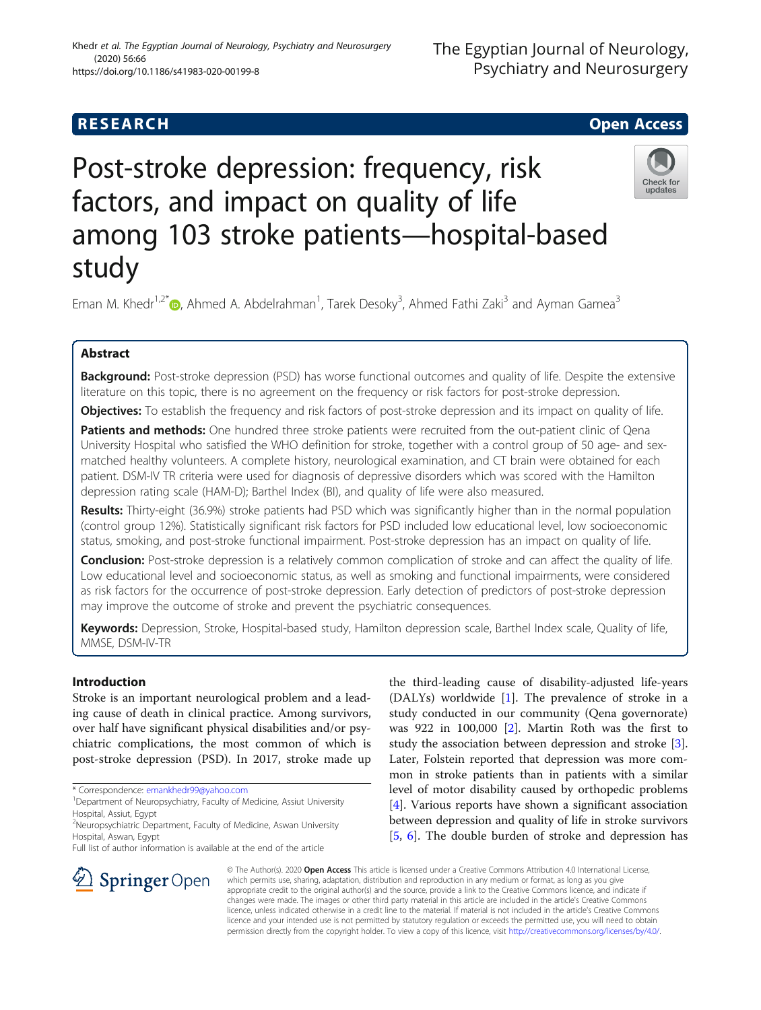(2020) 56:66

https://doi.org/10.1186/s41983-020-00199-8

Khedr et al. The Egyptian Journal of Neurology, Psychiatry and Neurosurgery

# **RESEARCH CHE Open Access**

## Post-stroke depression: frequency, risk factors, and impact on quality of life among 103 stroke patients—hospital-based study

Eman M. Khedr<sup>1,2[\\*](http://orcid.org/0000-0001-5679-9833)</sup> (@, Ahmed A. Abdelrahman<sup>1</sup>, Tarek Desoky<sup>3</sup>, Ahmed Fathi Zaki<sup>3</sup> and Ayman Gamea<sup>3</sup>

## Abstract

**Background:** Post-stroke depression (PSD) has worse functional outcomes and quality of life. Despite the extensive literature on this topic, there is no agreement on the frequency or risk factors for post-stroke depression.

Objectives: To establish the frequency and risk factors of post-stroke depression and its impact on quality of life.

Patients and methods: One hundred three stroke patients were recruited from the out-patient clinic of Qena University Hospital who satisfied the WHO definition for stroke, together with a control group of 50 age- and sexmatched healthy volunteers. A complete history, neurological examination, and CT brain were obtained for each patient. DSM-IV TR criteria were used for diagnosis of depressive disorders which was scored with the Hamilton depression rating scale (HAM-D); Barthel Index (BI), and quality of life were also measured.

Results: Thirty-eight (36.9%) stroke patients had PSD which was significantly higher than in the normal population (control group 12%). Statistically significant risk factors for PSD included low educational level, low socioeconomic status, smoking, and post-stroke functional impairment. Post-stroke depression has an impact on quality of life.

Conclusion: Post-stroke depression is a relatively common complication of stroke and can affect the quality of life. Low educational level and socioeconomic status, as well as smoking and functional impairments, were considered as risk factors for the occurrence of post-stroke depression. Early detection of predictors of post-stroke depression may improve the outcome of stroke and prevent the psychiatric consequences.

Keywords: Depression, Stroke, Hospital-based study, Hamilton depression scale, Barthel Index scale, Quality of life, MMSE, DSM-IV-TR

## Introduction

Stroke is an important neurological problem and a leading cause of death in clinical practice. Among survivors, over half have significant physical disabilities and/or psychiatric complications, the most common of which is post-stroke depression (PSD). In 2017, stroke made up

the third-leading cause of disability-adjusted life-years (DALYs) worldwide [\[1](#page-6-0)]. The prevalence of stroke in a study conducted in our community (Qena governorate) was 922 in 100,000 [[2\]](#page-6-0). Martin Roth was the first to study the association between depression and stroke [\[3](#page-6-0)]. Later, Folstein reported that depression was more common in stroke patients than in patients with a similar level of motor disability caused by orthopedic problems [[4\]](#page-6-0). Various reports have shown a significant association between depression and quality of life in stroke survivors [[5,](#page-6-0) [6\]](#page-6-0). The double burden of stroke and depression has



© The Author(s). 2020 Open Access This article is licensed under a Creative Commons Attribution 4.0 International License, which permits use, sharing, adaptation, distribution and reproduction in any medium or format, as long as you give appropriate credit to the original author(s) and the source, provide a link to the Creative Commons licence, and indicate if changes were made. The images or other third party material in this article are included in the article's Creative Commons licence, unless indicated otherwise in a credit line to the material. If material is not included in the article's Creative Commons licence and your intended use is not permitted by statutory regulation or exceeds the permitted use, you will need to obtain permission directly from the copyright holder. To view a copy of this licence, visit <http://creativecommons.org/licenses/by/4.0/>.



<sup>\*</sup> Correspondence: [emankhedr99@yahoo.com](mailto:emankhedr99@yahoo.com) <sup>1</sup>

<sup>&</sup>lt;sup>1</sup>Department of Neuropsychiatry, Faculty of Medicine, Assiut University Hospital, Assiut, Egypt

<sup>&</sup>lt;sup>2</sup>Neuropsychiatric Department, Faculty of Medicine, Aswan University Hospital, Aswan, Egypt

Full list of author information is available at the end of the article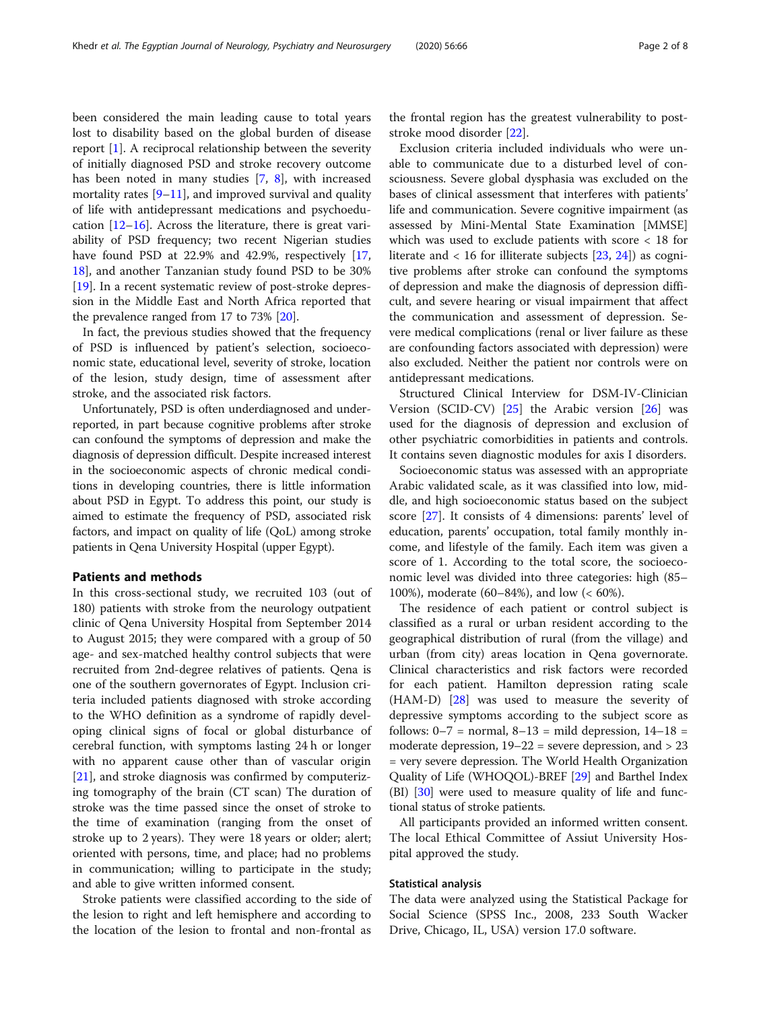been considered the main leading cause to total years lost to disability based on the global burden of disease report  $[1]$  $[1]$ . A reciprocal relationship between the severity of initially diagnosed PSD and stroke recovery outcome has been noted in many studies [[7,](#page-6-0) [8\]](#page-6-0), with increased mortality rates [\[9](#page-6-0)–[11\]](#page-6-0), and improved survival and quality of life with antidepressant medications and psychoeducation [\[12](#page-6-0)–[16](#page-6-0)]. Across the literature, there is great variability of PSD frequency; two recent Nigerian studies have found PSD at 22.9% and 42.9%, respectively [[17](#page-6-0), [18\]](#page-6-0), and another Tanzanian study found PSD to be 30% [[19\]](#page-6-0). In a recent systematic review of post-stroke depression in the Middle East and North Africa reported that the prevalence ranged from 17 to 73% [\[20\]](#page-6-0).

In fact, the previous studies showed that the frequency of PSD is influenced by patient's selection, socioeconomic state, educational level, severity of stroke, location of the lesion, study design, time of assessment after stroke, and the associated risk factors.

Unfortunately, PSD is often underdiagnosed and underreported, in part because cognitive problems after stroke can confound the symptoms of depression and make the diagnosis of depression difficult. Despite increased interest in the socioeconomic aspects of chronic medical conditions in developing countries, there is little information about PSD in Egypt. To address this point, our study is aimed to estimate the frequency of PSD, associated risk factors, and impact on quality of life (QoL) among stroke patients in Qena University Hospital (upper Egypt).

## Patients and methods

In this cross-sectional study, we recruited 103 (out of 180) patients with stroke from the neurology outpatient clinic of Qena University Hospital from September 2014 to August 2015; they were compared with a group of 50 age- and sex-matched healthy control subjects that were recruited from 2nd-degree relatives of patients. Qena is one of the southern governorates of Egypt. Inclusion criteria included patients diagnosed with stroke according to the WHO definition as a syndrome of rapidly developing clinical signs of focal or global disturbance of cerebral function, with symptoms lasting 24 h or longer with no apparent cause other than of vascular origin [[21\]](#page-6-0), and stroke diagnosis was confirmed by computerizing tomography of the brain (CT scan) The duration of stroke was the time passed since the onset of stroke to the time of examination (ranging from the onset of stroke up to 2 years). They were 18 years or older; alert; oriented with persons, time, and place; had no problems in communication; willing to participate in the study; and able to give written informed consent.

Stroke patients were classified according to the side of the lesion to right and left hemisphere and according to the location of the lesion to frontal and non-frontal as

the frontal region has the greatest vulnerability to poststroke mood disorder [\[22\]](#page-6-0).

Exclusion criteria included individuals who were unable to communicate due to a disturbed level of consciousness. Severe global dysphasia was excluded on the bases of clinical assessment that interferes with patients' life and communication. Severe cognitive impairment (as assessed by Mini-Mental State Examination [MMSE] which was used to exclude patients with score < 18 for literate and  $< 16$  for illiterate subjects  $[23, 24]$  $[23, 24]$  $[23, 24]$  $[23, 24]$  as cognitive problems after stroke can confound the symptoms of depression and make the diagnosis of depression difficult, and severe hearing or visual impairment that affect the communication and assessment of depression. Severe medical complications (renal or liver failure as these are confounding factors associated with depression) were also excluded. Neither the patient nor controls were on antidepressant medications.

Structured Clinical Interview for DSM-IV-Clinician Version (SCID-CV) [\[25](#page-7-0)] the Arabic version [[26\]](#page-7-0) was used for the diagnosis of depression and exclusion of other psychiatric comorbidities in patients and controls. It contains seven diagnostic modules for axis I disorders.

Socioeconomic status was assessed with an appropriate Arabic validated scale, as it was classified into low, middle, and high socioeconomic status based on the subject score [\[27](#page-7-0)]. It consists of 4 dimensions: parents' level of education, parents' occupation, total family monthly income, and lifestyle of the family. Each item was given a score of 1. According to the total score, the socioeconomic level was divided into three categories: high (85– 100%), moderate (60–84%), and low (< 60%).

The residence of each patient or control subject is classified as a rural or urban resident according to the geographical distribution of rural (from the village) and urban (from city) areas location in Qena governorate. Clinical characteristics and risk factors were recorded for each patient. Hamilton depression rating scale (HAM-D) [[28\]](#page-7-0) was used to measure the severity of depressive symptoms according to the subject score as follows:  $0-7$  = normal,  $8-13$  = mild depression,  $14-18$  = moderate depression, 19–22 = severe depression, and > 23 = very severe depression. The World Health Organization Quality of Life (WHOQOL)-BREF [\[29\]](#page-7-0) and Barthel Index (BI) [\[30\]](#page-7-0) were used to measure quality of life and functional status of stroke patients.

All participants provided an informed written consent. The local Ethical Committee of Assiut University Hospital approved the study.

#### Statistical analysis

The data were analyzed using the Statistical Package for Social Science (SPSS Inc., 2008, 233 South Wacker Drive, Chicago, IL, USA) version 17.0 software.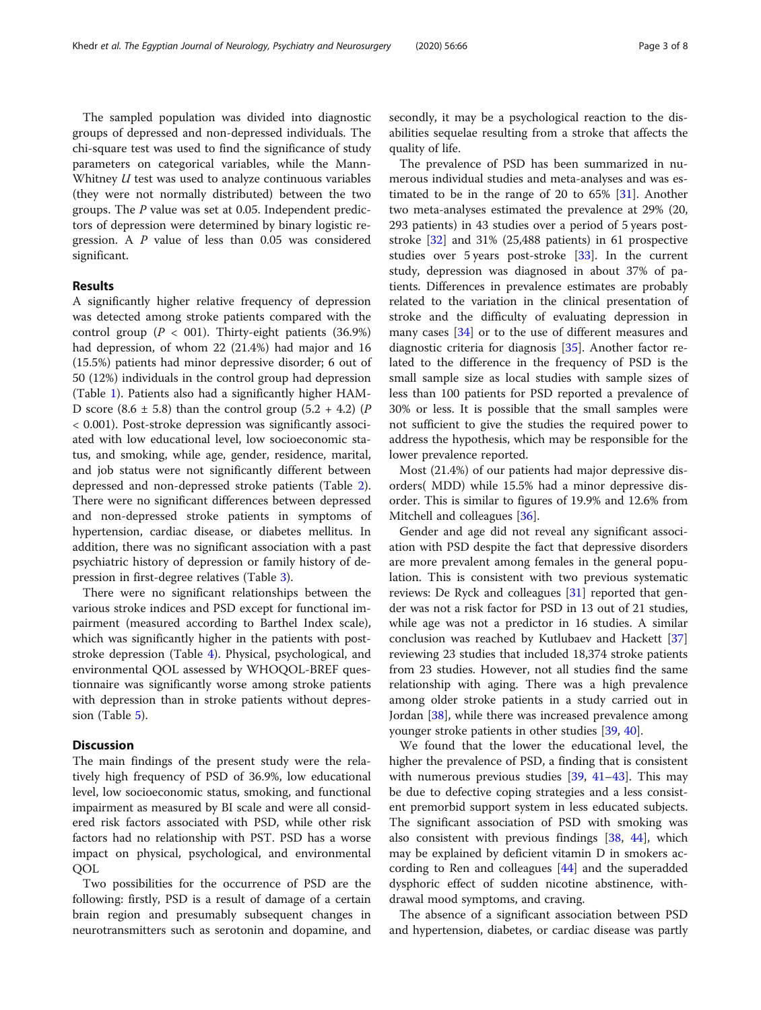The sampled population was divided into diagnostic groups of depressed and non-depressed individuals. The chi-square test was used to find the significance of study parameters on categorical variables, while the Mann-Whitney  $U$  test was used to analyze continuous variables (they were not normally distributed) between the two groups. The P value was set at 0.05. Independent predictors of depression were determined by binary logistic regression. A P value of less than 0.05 was considered significant.

## Results

A significantly higher relative frequency of depression was detected among stroke patients compared with the control group ( $P < 001$ ). Thirty-eight patients (36.9%) had depression, of whom 22 (21.4%) had major and 16 (15.5%) patients had minor depressive disorder; 6 out of 50 (12%) individuals in the control group had depression (Table [1](#page-3-0)). Patients also had a significantly higher HAM-D score  $(8.6 \pm 5.8)$  than the control group  $(5.2 + 4.2)$  (P < 0.001). Post-stroke depression was significantly associated with low educational level, low socioeconomic status, and smoking, while age, gender, residence, marital, and job status were not significantly different between depressed and non-depressed stroke patients (Table [2](#page-4-0)). There were no significant differences between depressed and non-depressed stroke patients in symptoms of hypertension, cardiac disease, or diabetes mellitus. In addition, there was no significant association with a past psychiatric history of depression or family history of depression in first-degree relatives (Table [3](#page-4-0)).

There were no significant relationships between the various stroke indices and PSD except for functional impairment (measured according to Barthel Index scale), which was significantly higher in the patients with poststroke depression (Table [4](#page-5-0)). Physical, psychological, and environmental QOL assessed by WHOQOL-BREF questionnaire was significantly worse among stroke patients with depression than in stroke patients without depression (Table [5\)](#page-5-0).

## Discussion

The main findings of the present study were the relatively high frequency of PSD of 36.9%, low educational level, low socioeconomic status, smoking, and functional impairment as measured by BI scale and were all considered risk factors associated with PSD, while other risk factors had no relationship with PST. PSD has a worse impact on physical, psychological, and environmental QOL

Two possibilities for the occurrence of PSD are the following: firstly, PSD is a result of damage of a certain brain region and presumably subsequent changes in neurotransmitters such as serotonin and dopamine, and secondly, it may be a psychological reaction to the disabilities sequelae resulting from a stroke that affects the quality of life.

The prevalence of PSD has been summarized in numerous individual studies and meta-analyses and was estimated to be in the range of 20 to 65% [\[31\]](#page-7-0). Another two meta-analyses estimated the prevalence at 29% (20, 293 patients) in 43 studies over a period of 5 years poststroke [[32\]](#page-7-0) and 31% (25,488 patients) in 61 prospective studies over  $5$  years post-stroke  $[33]$  $[33]$ . In the current study, depression was diagnosed in about 37% of patients. Differences in prevalence estimates are probably related to the variation in the clinical presentation of stroke and the difficulty of evaluating depression in many cases [\[34\]](#page-7-0) or to the use of different measures and diagnostic criteria for diagnosis [[35](#page-7-0)]. Another factor related to the difference in the frequency of PSD is the small sample size as local studies with sample sizes of less than 100 patients for PSD reported a prevalence of 30% or less. It is possible that the small samples were not sufficient to give the studies the required power to address the hypothesis, which may be responsible for the lower prevalence reported.

Most (21.4%) of our patients had major depressive disorders( MDD) while 15.5% had a minor depressive disorder. This is similar to figures of 19.9% and 12.6% from Mitchell and colleagues [\[36](#page-7-0)].

Gender and age did not reveal any significant association with PSD despite the fact that depressive disorders are more prevalent among females in the general population. This is consistent with two previous systematic reviews: De Ryck and colleagues [[31\]](#page-7-0) reported that gender was not a risk factor for PSD in 13 out of 21 studies, while age was not a predictor in 16 studies. A similar conclusion was reached by Kutlubaev and Hackett [[37](#page-7-0)] reviewing 23 studies that included 18,374 stroke patients from 23 studies. However, not all studies find the same relationship with aging. There was a high prevalence among older stroke patients in a study carried out in Jordan [[38\]](#page-7-0), while there was increased prevalence among younger stroke patients in other studies [[39](#page-7-0), [40](#page-7-0)].

We found that the lower the educational level, the higher the prevalence of PSD, a finding that is consistent with numerous previous studies  $[39, 41-43]$  $[39, 41-43]$  $[39, 41-43]$  $[39, 41-43]$  $[39, 41-43]$  $[39, 41-43]$ . This may be due to defective coping strategies and a less consistent premorbid support system in less educated subjects. The significant association of PSD with smoking was also consistent with previous findings [\[38](#page-7-0), [44\]](#page-7-0), which may be explained by deficient vitamin D in smokers according to Ren and colleagues [\[44](#page-7-0)] and the superadded dysphoric effect of sudden nicotine abstinence, withdrawal mood symptoms, and craving.

The absence of a significant association between PSD and hypertension, diabetes, or cardiac disease was partly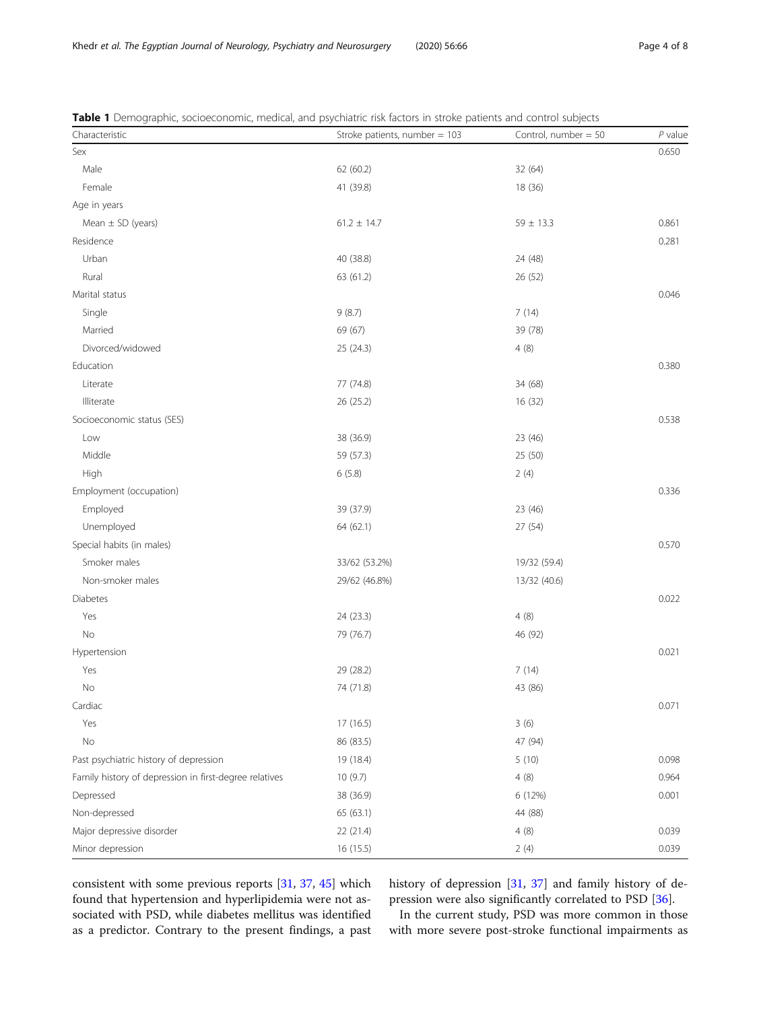| Characteristic                                         | Stroke patients, number = 103 | Control, number = 50 | $P$ value |
|--------------------------------------------------------|-------------------------------|----------------------|-----------|
| Sex                                                    |                               |                      | 0.650     |
| Male                                                   | 62 (60.2)                     | 32 (64)              |           |
| Female                                                 | 41 (39.8)                     | 18 (36)              |           |
| Age in years                                           |                               |                      |           |
| Mean $\pm$ SD (years)                                  | $61.2 \pm 14.7$               | $59 \pm 13.3$        | 0.861     |
| Residence                                              |                               |                      | 0.281     |
| Urban                                                  | 40 (38.8)                     | 24 (48)              |           |
| Rural                                                  | 63 (61.2)                     | 26 (52)              |           |
| Marital status                                         |                               |                      | 0.046     |
| Single                                                 | 9(8.7)                        | 7(14)                |           |
| Married                                                | 69 (67)                       | 39 (78)              |           |
| Divorced/widowed                                       | 25 (24.3)                     | 4(8)                 |           |
| Education                                              |                               |                      | 0.380     |
| Literate                                               | 77 (74.8)                     | 34 (68)              |           |
| Illiterate                                             | 26 (25.2)                     | 16 (32)              |           |
| Socioeconomic status (SES)                             |                               |                      | 0.538     |
| Low                                                    | 38 (36.9)                     | 23 (46)              |           |
| Middle                                                 | 59 (57.3)                     | 25 (50)              |           |
| High                                                   | 6(5.8)                        | 2(4)                 |           |
| Employment (occupation)                                |                               |                      | 0.336     |
| Employed                                               | 39 (37.9)                     | 23 (46)              |           |
| Unemployed                                             | 64 (62.1)                     | 27 (54)              |           |
| Special habits (in males)                              |                               |                      | 0.570     |
| Smoker males                                           | 33/62 (53.2%)                 | 19/32 (59.4)         |           |
| Non-smoker males                                       | 29/62 (46.8%)                 | 13/32 (40.6)         |           |
| Diabetes                                               |                               |                      | 0.022     |
| Yes                                                    | 24 (23.3)                     | 4(8)                 |           |
| No                                                     | 79 (76.7)                     | 46 (92)              |           |
| Hypertension                                           |                               |                      | 0.021     |
| Yes                                                    | 29 (28.2)                     | 7(14)                |           |
| No                                                     | 74 (71.8)                     | 43 (86)              |           |
| Cardiac                                                |                               |                      | 0.071     |
| Yes                                                    | 17 (16.5)                     | 3(6)                 |           |
| No                                                     | 86 (83.5)                     | 47 (94)              |           |
| Past psychiatric history of depression                 | 19 (18.4)                     | 5(10)                | 0.098     |
| Family history of depression in first-degree relatives | 10(9.7)                       | 4(8)                 | 0.964     |
| Depressed                                              | 38 (36.9)                     | 6 (12%)              | 0.001     |
| Non-depressed                                          | 65 (63.1)                     | 44 (88)              |           |
| Major depressive disorder                              | 22 (21.4)                     | 4(8)                 | 0.039     |
| Minor depression                                       | 16 (15.5)                     | 2(4)                 | 0.039     |

<span id="page-3-0"></span>

| Table 1 Demographic, socioeconomic, medical, and psychiatric risk factors in stroke patients and control subjects |  |  |  |  |
|-------------------------------------------------------------------------------------------------------------------|--|--|--|--|
|                                                                                                                   |  |  |  |  |
|                                                                                                                   |  |  |  |  |

consistent with some previous reports [[31,](#page-7-0) [37,](#page-7-0) [45\]](#page-7-0) which found that hypertension and hyperlipidemia were not associated with PSD, while diabetes mellitus was identified as a predictor. Contrary to the present findings, a past history of depression [[31,](#page-7-0) [37\]](#page-7-0) and family history of depression were also significantly correlated to PSD [\[36](#page-7-0)].

In the current study, PSD was more common in those with more severe post-stroke functional impairments as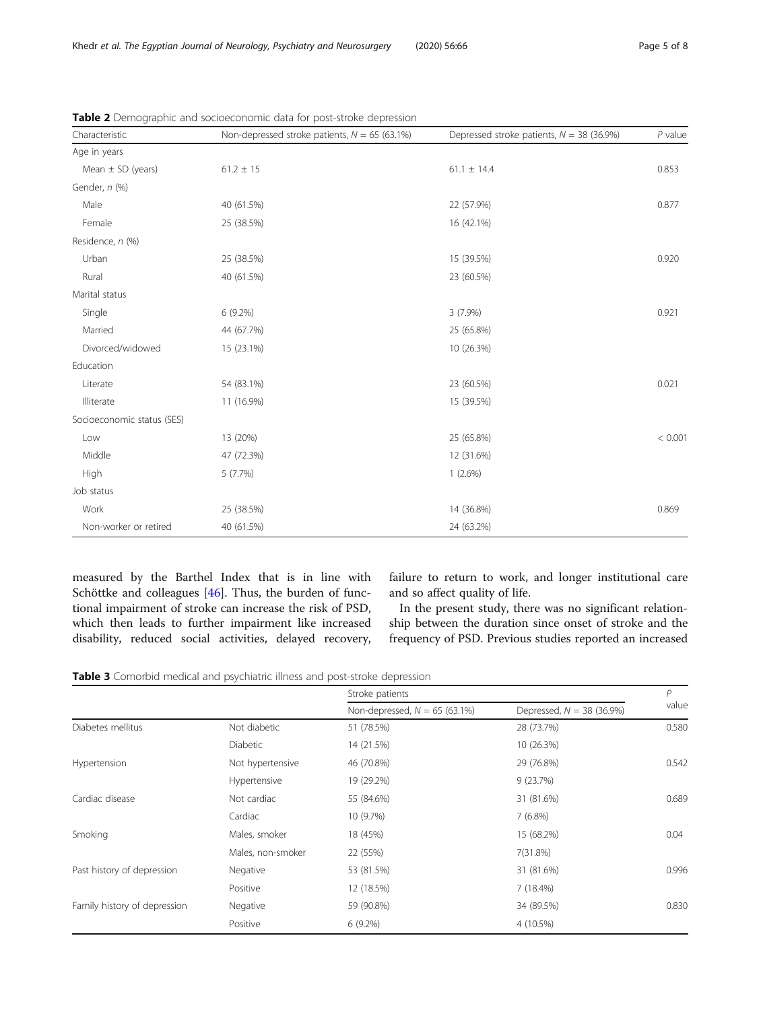| Characteristic             | Non-depressed stroke patients, $N = 65$ (63.1%) | Depressed stroke patients, $N = 38$ (36.9%) | $P$ value |  |
|----------------------------|-------------------------------------------------|---------------------------------------------|-----------|--|
| Age in years               |                                                 |                                             |           |  |
| Mean $\pm$ SD (years)      | $61.2 \pm 15$                                   | $61.1 \pm 14.4$                             | 0.853     |  |
| Gender, n (%)              |                                                 |                                             |           |  |
| Male                       | 40 (61.5%)                                      | 22 (57.9%)                                  | 0.877     |  |
| Female                     | 25 (38.5%)                                      | 16 (42.1%)                                  |           |  |
| Residence, n (%)           |                                                 |                                             |           |  |
| Urban                      | 25 (38.5%)                                      | 15 (39.5%)                                  | 0.920     |  |
| Rural                      | 40 (61.5%)                                      | 23 (60.5%)                                  |           |  |
| Marital status             |                                                 |                                             |           |  |
| Single                     | 6 (9.2%)                                        | $3(7.9\%)$                                  | 0.921     |  |
| Married                    | 44 (67.7%)                                      | 25 (65.8%)                                  |           |  |
| Divorced/widowed           | 15 (23.1%)                                      | 10 (26.3%)                                  |           |  |
| Education                  |                                                 |                                             |           |  |
| Literate                   | 54 (83.1%)                                      | 23 (60.5%)                                  | 0.021     |  |
| Illiterate                 | 11 (16.9%)                                      | 15 (39.5%)                                  |           |  |
| Socioeconomic status (SES) |                                                 |                                             |           |  |
| Low                        | 13 (20%)                                        | 25 (65.8%)                                  | < 0.001   |  |
| Middle                     | 47 (72.3%)                                      | 12 (31.6%)                                  |           |  |
| High                       | 5 (7.7%)                                        | $1(2.6\%)$                                  |           |  |
| Job status                 |                                                 |                                             |           |  |
| Work                       | 25 (38.5%)                                      | 14 (36.8%)                                  | 0.869     |  |
| Non-worker or retired      | 40 (61.5%)                                      | 24 (63.2%)                                  |           |  |

<span id="page-4-0"></span>Table 2 Demographic and socioeconomic data for post-stroke depression

measured by the Barthel Index that is in line with Schöttke and colleagues [[46\]](#page-7-0). Thus, the burden of functional impairment of stroke can increase the risk of PSD, which then leads to further impairment like increased disability, reduced social activities, delayed recovery, failure to return to work, and longer institutional care and so affect quality of life.

In the present study, there was no significant relationship between the duration since onset of stroke and the frequency of PSD. Previous studies reported an increased

Table 3 Comorbid medical and psychiatric illness and post-stroke depression

|                              |                   | Stroke patients                 |                             | P     |
|------------------------------|-------------------|---------------------------------|-----------------------------|-------|
|                              |                   | Non-depressed, $N = 65$ (63.1%) | Depressed, $N = 38$ (36.9%) | value |
| Diabetes mellitus            | Not diabetic      | 51 (78.5%)                      | 28 (73.7%)                  | 0.580 |
|                              | <b>Diabetic</b>   | 14 (21.5%)                      | 10 (26.3%)                  |       |
| Hypertension                 | Not hypertensive  | 46 (70.8%)                      | 29 (76.8%)                  | 0.542 |
|                              | Hypertensive      | 19 (29.2%)                      | 9(23.7%)                    |       |
| Cardiac disease              | Not cardiac       | 55 (84.6%)                      | 31 (81.6%)                  | 0.689 |
|                              | Cardiac           | 10 (9.7%)                       | 7(6.8%)                     |       |
| Smoking                      | Males, smoker     | 18 (45%)                        | 15 (68.2%)                  | 0.04  |
|                              | Males, non-smoker | 22 (55%)                        | 7(31.8%)                    |       |
| Past history of depression   | Negative          | 53 (81.5%)                      | 31 (81.6%)                  | 0.996 |
|                              | Positive          | 12 (18.5%)                      | 7(18.4%)                    |       |
| Family history of depression | Negative          | 59 (90.8%)                      | 34 (89.5%)                  | 0.830 |
|                              | Positive          | $6(9.2\%)$                      | 4 (10.5%)                   |       |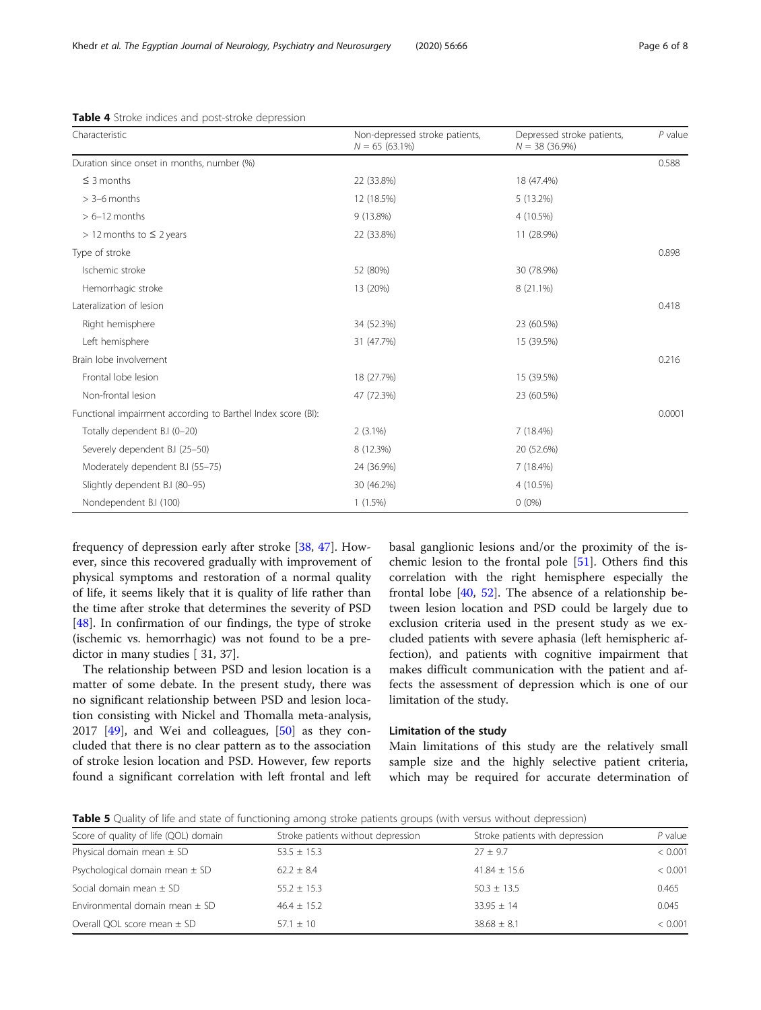| Characteristic                                               | Non-depressed stroke patients,<br>$N = 65(63.1\%)$ | Depressed stroke patients,<br>$N = 38(36.9\%)$ | $P$ value |
|--------------------------------------------------------------|----------------------------------------------------|------------------------------------------------|-----------|
| Duration since onset in months, number (%)                   |                                                    |                                                | 0.588     |
| $\leq$ 3 months                                              | 22 (33.8%)                                         | 18 (47.4%)                                     |           |
| $>$ 3-6 months                                               | 12 (18.5%)                                         | 5 (13.2%)                                      |           |
| $> 6 - 12$ months                                            | 9 (13.8%)                                          | 4 (10.5%)                                      |           |
| $> 12$ months to $\leq 2$ years                              | 22 (33.8%)                                         | 11 (28.9%)                                     |           |
| Type of stroke                                               |                                                    |                                                | 0.898     |
| Ischemic stroke                                              | 52 (80%)                                           | 30 (78.9%)                                     |           |
| Hemorrhagic stroke                                           | 13 (20%)                                           | 8 (21.1%)                                      |           |
| Lateralization of lesion                                     |                                                    |                                                | 0.418     |
| Right hemisphere                                             | 34 (52.3%)                                         | 23 (60.5%)                                     |           |
| Left hemisphere                                              | 31 (47.7%)                                         | 15 (39.5%)                                     |           |
| Brain lobe involvement                                       |                                                    |                                                | 0.216     |
| Frontal lobe lesion                                          | 18 (27.7%)                                         | 15 (39.5%)                                     |           |
| Non-frontal lesion                                           | 47 (72.3%)                                         | 23 (60.5%)                                     |           |
| Functional impairment according to Barthel Index score (BI): |                                                    |                                                | 0.0001    |
| Totally dependent B.I (0-20)                                 | $2(3.1\%)$                                         | 7(18.4%)                                       |           |
| Severely dependent B.I (25-50)                               | 8 (12.3%)                                          | 20 (52.6%)                                     |           |
| Moderately dependent B.I (55-75)                             | 24 (36.9%)                                         | 7 (18.4%)                                      |           |
| Slightly dependent B.I (80-95)                               | 30 (46.2%)                                         | 4 (10.5%)                                      |           |
| Nondependent B.I (100)                                       | $1(1.5\%)$                                         | $0(0\%)$                                       |           |

<span id="page-5-0"></span>Table 4 Stroke indices and post-stroke depression

frequency of depression early after stroke [[38,](#page-7-0) [47\]](#page-7-0). However, since this recovered gradually with improvement of physical symptoms and restoration of a normal quality of life, it seems likely that it is quality of life rather than the time after stroke that determines the severity of PSD [[48\]](#page-7-0). In confirmation of our findings, the type of stroke (ischemic vs. hemorrhagic) was not found to be a predictor in many studies [ 31, 37].

The relationship between PSD and lesion location is a matter of some debate. In the present study, there was no significant relationship between PSD and lesion location consisting with Nickel and Thomalla meta-analysis, 2017 [[49](#page-7-0)], and Wei and colleagues, [[50](#page-7-0)] as they concluded that there is no clear pattern as to the association of stroke lesion location and PSD. However, few reports found a significant correlation with left frontal and left basal ganglionic lesions and/or the proximity of the ischemic lesion to the frontal pole [[51\]](#page-7-0). Others find this correlation with the right hemisphere especially the frontal lobe [[40](#page-7-0), [52\]](#page-7-0). The absence of a relationship between lesion location and PSD could be largely due to exclusion criteria used in the present study as we excluded patients with severe aphasia (left hemispheric affection), and patients with cognitive impairment that makes difficult communication with the patient and affects the assessment of depression which is one of our limitation of the study.

#### Limitation of the study

Main limitations of this study are the relatively small sample size and the highly selective patient criteria, which may be required for accurate determination of

Table 5 Quality of life and state of functioning among stroke patients groups (with versus without depression)

| Score of quality of life (QOL) domain | Stroke patients without depression | Stroke patients with depression | $P$ value |
|---------------------------------------|------------------------------------|---------------------------------|-----------|
| Physical domain mean $\pm$ SD         | $53.5 \pm 15.3$                    | $27 + 9.7$                      | < 0.001   |
| Psychological domain mean $\pm$ SD    | $62.2 \pm 8.4$                     | $41.84 + 15.6$                  | < 0.001   |
| Social domain mean $\pm$ SD           | $55.2 + 15.3$                      | $50.3 + 13.5$                   | 0.465     |
| Environmental domain mean $\pm$ SD    | $46.4 + 15.2$                      | $33.95 + 14$                    | 0.045     |
| Overall QOL score mean $\pm$ SD       | $57.1 + 10$                        | $38.68 \pm 8.1$                 | < 0.001   |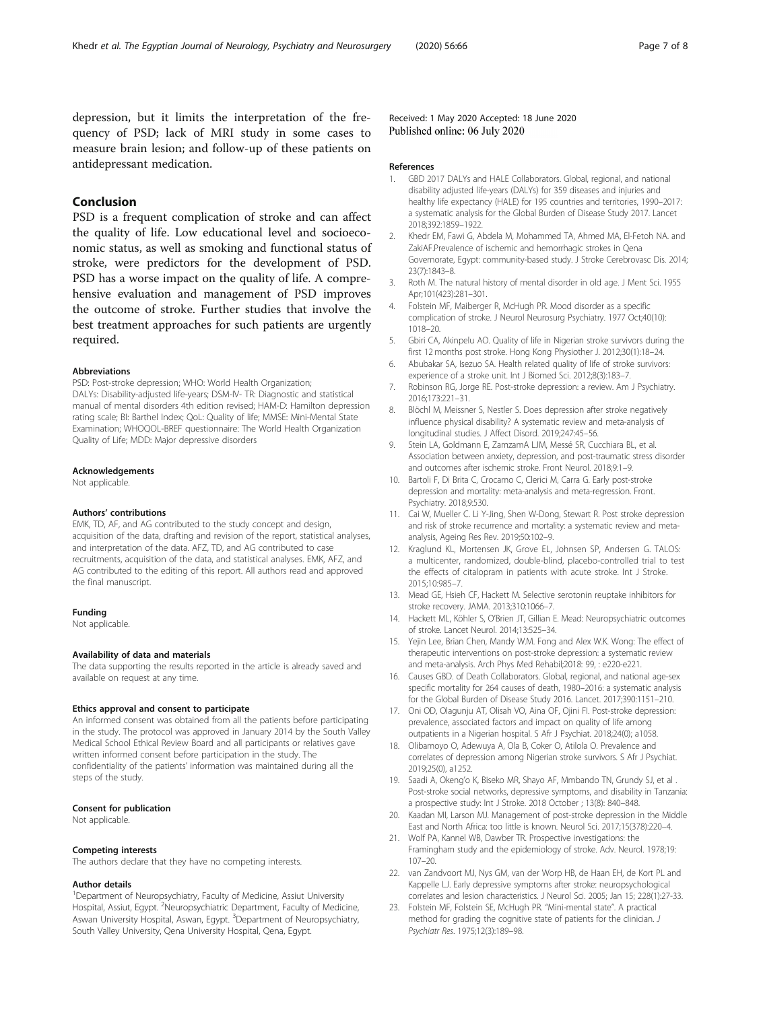<span id="page-6-0"></span>depression, but it limits the interpretation of the frequency of PSD; lack of MRI study in some cases to measure brain lesion; and follow-up of these patients on antidepressant medication.

## Conclusion

PSD is a frequent complication of stroke and can affect the quality of life. Low educational level and socioeconomic status, as well as smoking and functional status of stroke, were predictors for the development of PSD. PSD has a worse impact on the quality of life. A comprehensive evaluation and management of PSD improves the outcome of stroke. Further studies that involve the best treatment approaches for such patients are urgently required.

#### Abbreviations

PSD: Post-stroke depression; WHO: World Health Organization; DALYs: Disability-adjusted life-years; DSM-IV- TR: Diagnostic and statistical manual of mental disorders 4th edition revised; HAM-D: Hamilton depression rating scale; BI: Barthel Index; QoL: Quality of life; MMSE: Mini-Mental State Examination; WHOQOL-BREF questionnaire: The World Health Organization Quality of Life; MDD: Major depressive disorders

#### Acknowledgements

Not applicable.

#### Authors' contributions

EMK, TD, AF, and AG contributed to the study concept and design, acquisition of the data, drafting and revision of the report, statistical analyses, and interpretation of the data. AFZ, TD, and AG contributed to case recruitments, acquisition of the data, and statistical analyses. EMK, AFZ, and AG contributed to the editing of this report. All authors read and approved the final manuscript.

#### Funding

Not applicable.

#### Availability of data and materials

The data supporting the results reported in the article is already saved and available on request at any time.

#### Ethics approval and consent to participate

An informed consent was obtained from all the patients before participating in the study. The protocol was approved in January 2014 by the South Valley Medical School Ethical Review Board and all participants or relatives gave written informed consent before participation in the study. The confidentiality of the patients' information was maintained during all the steps of the study.

#### Consent for publication

Not applicable.

#### Competing interests

The authors declare that they have no competing interests.

#### Author details

<sup>1</sup>Department of Neuropsychiatry, Faculty of Medicine, Assiut University Hospital, Assiut, Egypt. <sup>2</sup>Neuropsychiatric Department, Faculty of Medicine, Aswan University Hospital, Aswan, Egypt. <sup>3</sup>Department of Neuropsychiatry, South Valley University, Qena University Hospital, Qena, Egypt.

Received: 1 May 2020 Accepted: 18 June 2020 Published online: 06 July 2020

#### References

- 1. GBD 2017 DALYs and HALE Collaborators. Global, regional, and national disability adjusted life-years (DALYs) for 359 diseases and injuries and healthy life expectancy (HALE) for 195 countries and territories, 1990–2017: a systematic analysis for the Global Burden of Disease Study 2017. Lancet 2018;392:1859–1922.
- 2. Khedr EM, Fawi G, Abdela M, Mohammed TA, Ahmed MA, El-Fetoh NA. and ZakiAF.Prevalence of ischemic and hemorrhagic strokes in Qena Governorate, Egypt: community-based study. J Stroke Cerebrovasc Dis. 2014; 23(7):1843–8.
- 3. Roth M. The natural history of mental disorder in old age. J Ment Sci. 1955 Apr;101(423):281–301.
- 4. Folstein MF, Maiberger R, McHugh PR. Mood disorder as a specific complication of stroke. J Neurol Neurosurg Psychiatry. 1977 Oct;40(10): 1018–20.
- 5. Gbiri CA, Akinpelu AO. Quality of life in Nigerian stroke survivors during the first 12 months post stroke. Hong Kong Physiother J. 2012;30(1):18–24.
- 6. Abubakar SA, Isezuo SA. Health related quality of life of stroke survivors: experience of a stroke unit. Int J Biomed Sci. 2012;8(3):183–7.
- 7. Robinson RG, Jorge RE. Post-stroke depression: a review. Am J Psychiatry. 2016;173:221–31.
- 8. Blöchl M, Meissner S, Nestler S. Does depression after stroke negatively influence physical disability? A systematic review and meta-analysis of longitudinal studies. J Affect Disord. 2019;247:45–56.
- 9. Stein LA, Goldmann E, ZamzamA LJM, Messé SR, Cucchiara BL, et al. Association between anxiety, depression, and post-traumatic stress disorder and outcomes after ischemic stroke. Front Neurol. 2018;9:1–9.
- 10. Bartoli F, Di Brita C, Crocamo C, Clerici M, Carra G. Early post-stroke depression and mortality: meta-analysis and meta-regression. Front. Psychiatry. 2018;9:530.
- 11. Cai W, Mueller C. Li Y-Jing, Shen W-Dong, Stewart R. Post stroke depression and risk of stroke recurrence and mortality: a systematic review and metaanalysis, Ageing Res Rev. 2019;50:102–9.
- 12. Kraglund KL, Mortensen JK, Grove EL, Johnsen SP, Andersen G. TALOS: a multicenter, randomized, double-blind, placebo-controlled trial to test the effects of citalopram in patients with acute stroke. Int J Stroke. 2015;10:985–7.
- 13. Mead GE, Hsieh CF, Hackett M. Selective serotonin reuptake inhibitors for stroke recovery. JAMA. 2013;310:1066–7.
- 14. Hackett ML, Köhler S, O'Brien JT, Gillian E. Mead: Neuropsychiatric outcomes of stroke. Lancet Neurol. 2014;13:525–34.
- 15. Yejin Lee, Brian Chen, Mandy W.M. Fong and Alex W.K. Wong: The effect of therapeutic interventions on post-stroke depression: a systematic review and meta-analysis. Arch Phys Med Rehabil;2018: 99, : e220-e221.
- 16. Causes GBD. of Death Collaborators. Global, regional, and national age-sex specific mortality for 264 causes of death, 1980–2016: a systematic analysis for the Global Burden of Disease Study 2016. Lancet. 2017;390:1151–210.
- 17. Oni OD, Olagunju AT, Olisah VO, Aina OF, Ojini FI. Post-stroke depression: prevalence, associated factors and impact on quality of life among outpatients in a Nigerian hospital. S Afr J Psychiat. 2018;24(0); a1058.
- 18. Olibamoyo O, Adewuya A, Ola B, Coker O, Atilola O. Prevalence and correlates of depression among Nigerian stroke survivors. S Afr J Psychiat. 2019;25(0), a1252.
- 19. Saadi A, Okeng'o K, Biseko MR, Shayo AF, Mmbando TN, Grundy SJ, et al . Post-stroke social networks, depressive symptoms, and disability in Tanzania: a prospective study: Int J Stroke. 2018 October ; 13(8): 840–848.
- 20. Kaadan MI, Larson MJ. Management of post-stroke depression in the Middle East and North Africa: too little is known. Neurol Sci. 2017;15(378):220–4.
- 21. Wolf PA, Kannel WB, Dawber TR. Prospective investigations: the Framingham study and the epidemiology of stroke. Adv. Neurol. 1978;19: 107–20.
- 22. van Zandvoort MJ, Nys GM, van der Worp HB, de Haan EH, de Kort PL and Kappelle LJ. Early depressive symptoms after stroke: neuropsychological correlates and lesion characteristics. J Neurol Sci. 2005; Jan 15; 228(1):27-33.
- 23. Folstein MF, Folstein SE, McHugh PR. "Mini-mental state". A practical method for grading the cognitive state of patients for the clinician. J Psychiatr Res. 1975;12(3):189–98.